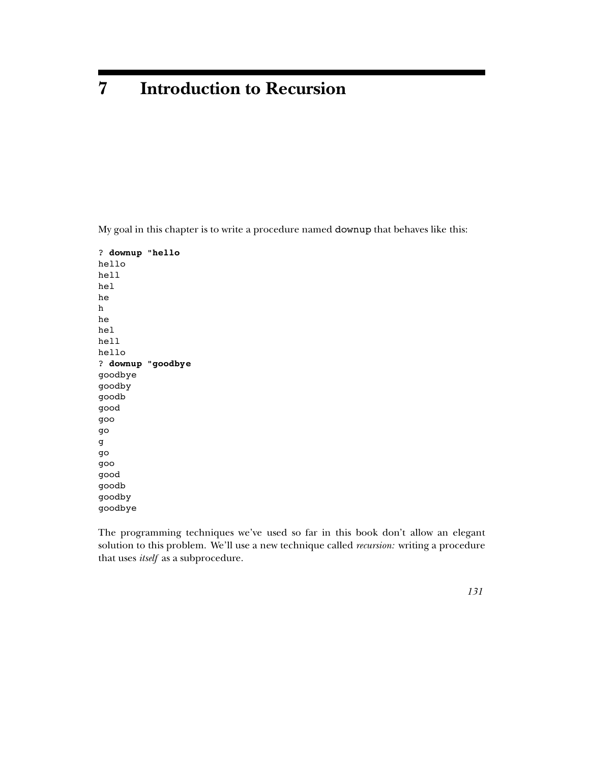# **7 Introduction to Recursion**

My goal in this chapter is to write a procedure named **downup** that behaves like this:

**downup "hello** ? **downup "goodbye** ? hello hell hel he h he hel hell hello goodbye goodby goodb good goo go g go goo good goodb goodby goodbye

solution to this problem. We'll use a new technique called *recursion:* writing a procedure that uses *itself* as a subprocedure. The programming techniques we've used so far in this book don't allow an elegant

*131*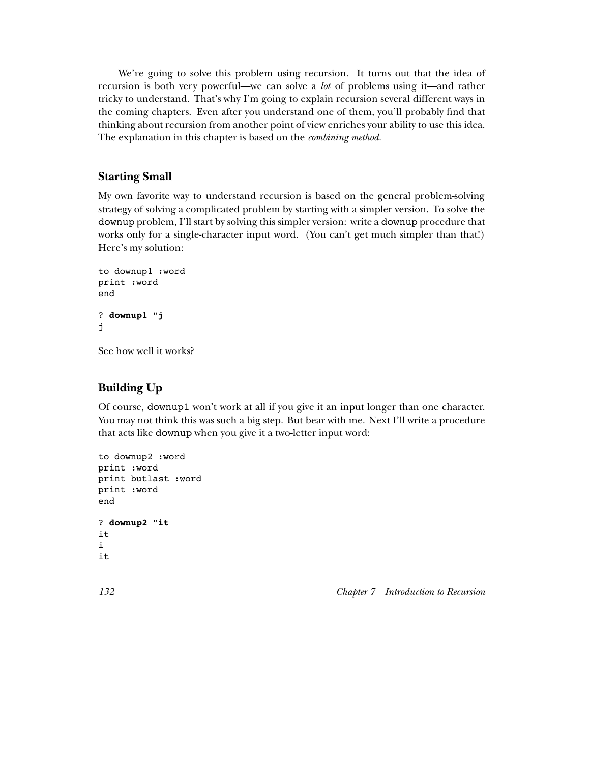recursion is both very powerful—we can solve a *lot* of problems using it—and rather The explanation in this chapter is based on the *combining method*. We're going to solve this problem using recursion. It turns out that the idea of tricky to understand. That's why I'm going to explain recursion several different ways in the coming chapters. Even after you understand one of them, you'll probably find that thinking about recursion from another point of view enriches your ability to use this idea.

# **Starting Small**

downup problem, I'll start by solving this simpler version: write a downup procedure that My own favorite way to understand recursion is based on the general problem-solving strategy of solving a complicated problem by starting with a simpler version. To solve the works only for a single-character input word. (You can't get much simpler than that!) Here's my solution:

```
downup1 "j
?
to downup1 :word
print :word
end
j
```
See how well it works?

# **Building Up**

Of course, downup1 won't work at all if you give it an input longer than one character. that acts like **downup** when you give it a two-letter input word: You may not think this was such a big step. But bear with me. Next I'll write a procedure

```
downup2 "it
?
to downup2 :word
print :word
print butlast :word
print :word
end
it
i
it
```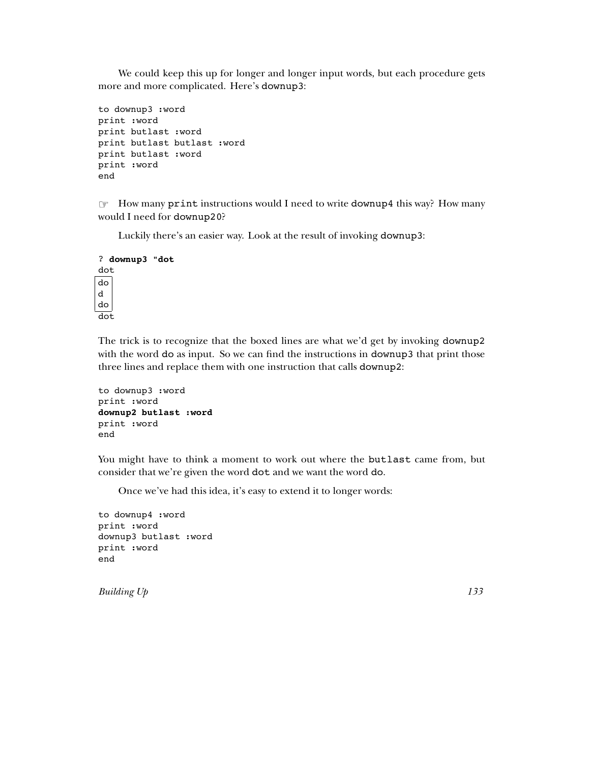more and more complicated. Here's downup3: We could keep this up for longer and longer input words, but each procedure gets

```
to downup3 :word
print :word
print butlast :word
print butlast butlast :word
print butlast :word
print :word
end
```
☞ print downup4 How many instructions would I need to write this way? How many would I need for downup20?

Luckily there's an easier way. Look at the result of invoking downup3:

```
downup3 "dot
?
dot
do
d
do
dot
```
The trick is to recognize that the boxed lines are what we'd get by invoking downup2 with the word do as input. So we can find the instructions in downup3 that print those three lines and replace them with one instruction that calls downup2:

```
downup2 butlast :word
to downup3 :word
print :word
print :word
end
```
You might have to think a moment to work out where the butlast came from, but consider that we're given the word dot and we want the word do.

Once we've had this idea, it's easy to extend it to longer words:

to downup4 :word print :word downup3 butlast :word print :word end

*Building Up 133*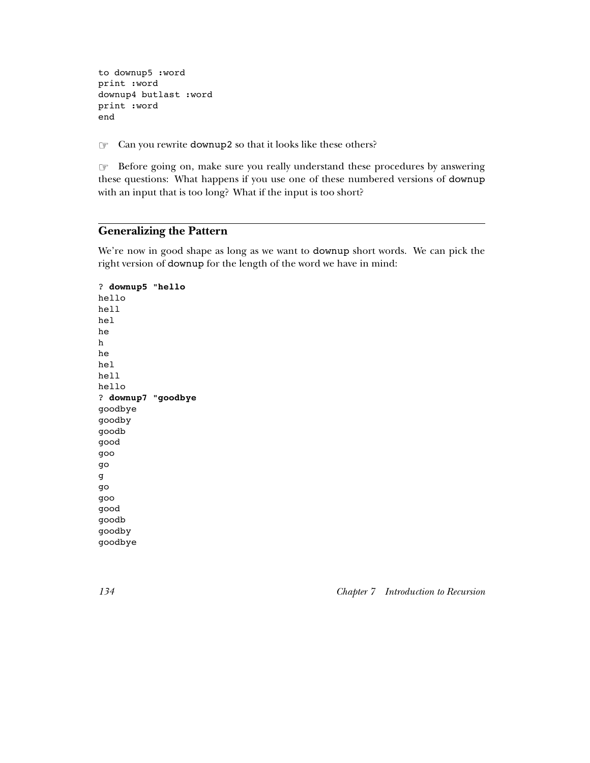to downup5 :word print :word downup4 butlast :word print :word end

☞ Can you rewrite downup2 so that it looks like these others?

☞ these questions: What happens if you use one of these numbered versions of downup Before going on, make sure you really understand these procedures by answering with an input that is too long? What if the input is too short?

# **Generalizing the Pattern**

We're now in good shape as long as we want to downup short words. We can pick the right version of downup for the length of the word we have in mind:

**downup5 "hello** ? **downup7 "goodbye** ? hello hell hel he h he hel hell hello goodbye goodby goodb good goo go g go goo good goodb goodby goodbye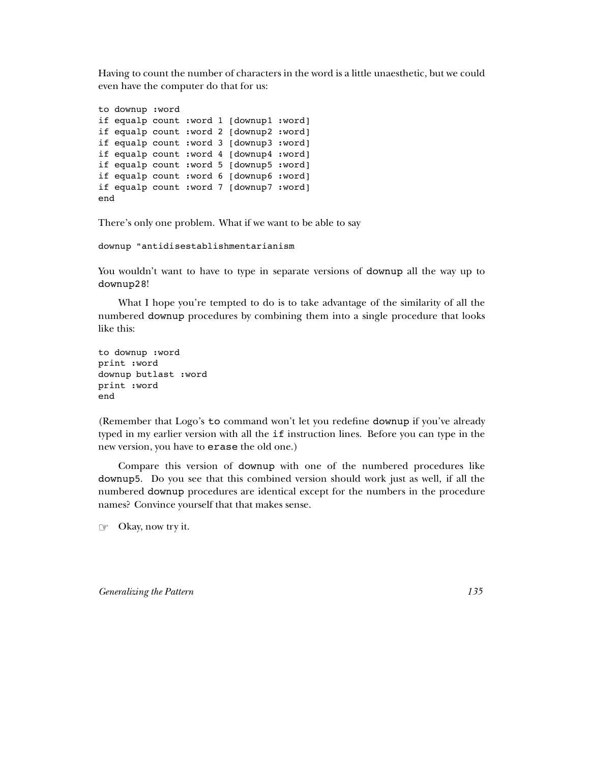Having to count the number of characters in the word is a little unaesthetic, but we could even have the computer do that for us:

to downup :word if equalp count :word 1 [downup1 :word] if equalp count :word 2 [downup2 :word] if equalp count :word 3 [downup3 :word] if equalp count :word 4 [downup4 :word] if equalp count :word 5 [downup5 :word] if equalp count :word 6 [downup6 :word] if equalp count :word 7 [downup7 :word] end

There's only one problem. What if we want to be able to say

downup "antidisestablishmentarianism

You wouldn't want to have to type in separate versions of downup all the way up to downup28 !

numbered downup procedures by combining them into a single procedure that looks What I hope you're tempted to do is to take advantage of the similarity of all the like this:

```
to downup :word
print :word
downup butlast :word
print :word
end
```
(Remember that Logo's to command won't let you redefine downup if you've already typed in my earlier version with all the if instruction lines. Before you can type in the new version, you have to **erase** the old one.)

Compare this version of downup with one of the numbered procedures like downup5 . Do you see that this combined version should work just as well, if all the numbered downup procedures are identical except for the numbers in the procedure names? Convince yourself that that makes sense.

☞ Okay, now try it.

*Generalizing the Pattern 135*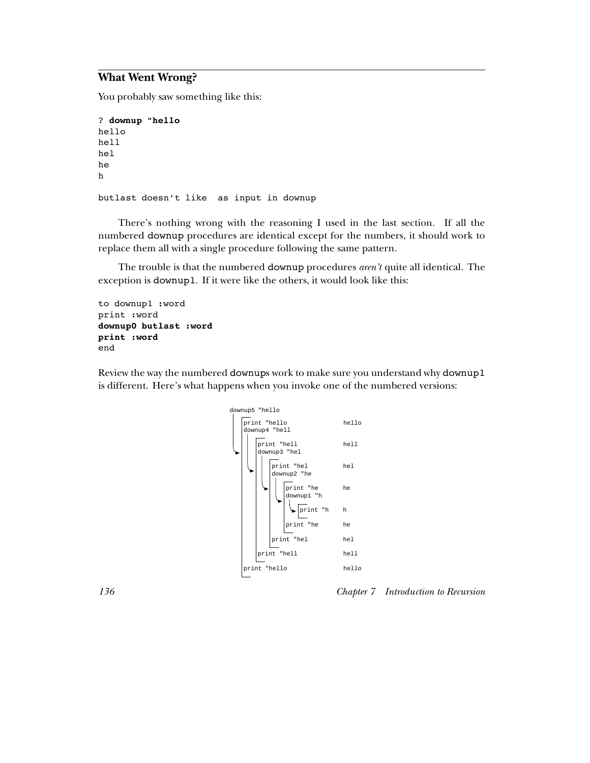# **What Went Wrong?**

You probably saw something like this:

```
downup "hello
?
hello
hell
hel
he
h
butlast doesn't like as input in downup
```
numbered downup procedures are identical except for the numbers, it should work to There's nothing wrong with the reasoning I used in the last section. If all the replace them all with a single procedure following the same pattern.

The trouble is that the numbered **downup** procedures *aren't* quite all identical. The exception is downup1. If it were like the others, it would look like this:

```
downup0 butlast :word
print :word
to downup1 :word
print :word
end
```
Review the way the numbered downups work to make sure you understand why downup1 is different. Here's what happens when you invoke one of the numbered versions:



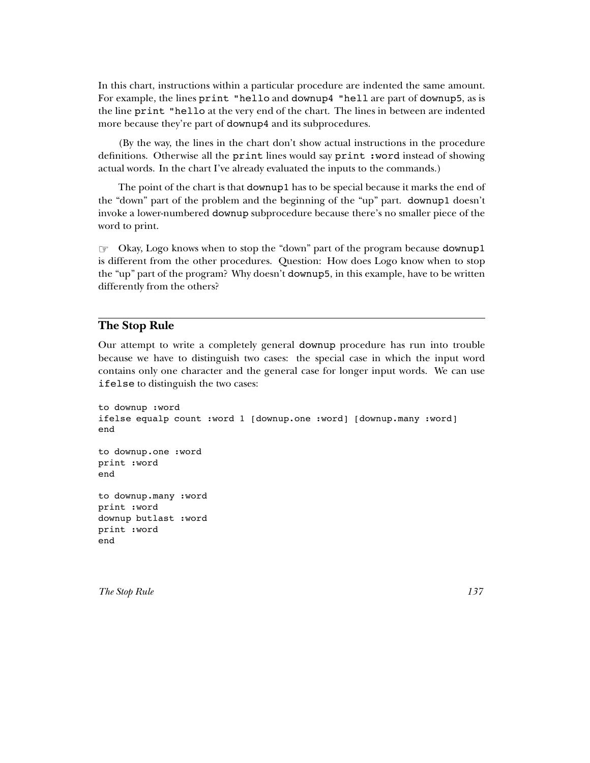For example, the lines  ${\tt print}$  "hello and downup4 "hell are part of downup5, as is the line print "hello at the very end of the chart. The lines in between are indented more because they're part of downup4 and its subprocedures. In this chart, instructions within a particular procedure are indented the same amount.

definitions. Otherwise all the print lines would say print: word instead of showing (By the way, the lines in the chart don't show actual instructions in the procedure actual words. In the chart I've already evaluated the inputs to the commands.)

The point of the chart is that downup1 has to be special because it marks the end of the "down" part of the problem and the beginning of the "up" part. downup1 doesn't invoke a lower-numbered **downup** subprocedure because there's no smaller piece of the word to print.

☞ downup1 Okay, Logo knows when to stop the "down" part of the program because the "up" part of the program? Why doesn't **downup5**, in this example, have to be written is different from the other procedures. Question: How does Logo know when to stop differently from the others?

#### **The Stop Rule**

Our attempt to write a completely general downup procedure has run into trouble ifelse to distinguish the two cases:because we have to distinguish two cases: the special case in which the input word contains only one character and the general case for longer input words. We can use

```
to downup :word
ifelse equalp count :word 1 [downup.one :word] [downup.many :word]
end
to downup.one :word
print :word
end
to downup.many :word
print :word
downup butlast :word
print :word
end
```
*The Stop Rule 137*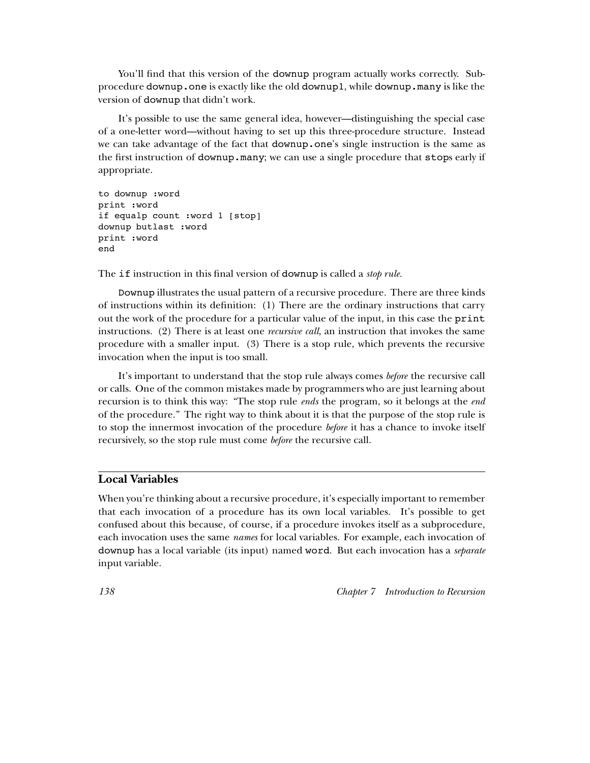You'll find that this version of the downup program actually works correctly. Subprocedure downup . one is exactly like the old downup1, while downup . many is like the version of **downup** that didn't work.

we can take advantage of the fact that downup.one's single instruction is the same as the first instruction of downup. many; we can use a single procedure that stops early if It's possible to use the same general idea, however—distinguishing the special case of a one-letter word—without having to set up this three-procedure structure. Instead appropriate.

```
to downup :word
print :word
if equalp count :word 1 [stop]
downup butlast :word
print :word
end
```
The if instruction in this final version of downup is called a *stop rule*.

Downup illustrates the usual pattern of a recursive procedure. There are three kinds out the work of the procedure for a particular value of the input, in this case the print instructions. (2) There is at least one *recursive call*, an instruction that invokes the same of instructions within its definition: (1) There are the ordinary instructions that carry procedure with a smaller input. (3) There is a stop rule, which prevents the recursive invocation when the input is too small.

It's important to understand that the stop rule always comes before the recursive call recursion is to think this way: "The stop rule *ends* the program, so it belongs at the *end* to stop the innermost invocation of the procedure before it has a chance to invoke itself recursively, so the stop rule must come before the recursive call. or calls. One of the common mistakes made by programmers who are just learning about of the procedure." The right way to think about it is that the purpose of the stop rule is

## **Local Variables**

downup has a local variable (its input) named word. But each invocation has a *separate* each invocation uses the same *names* for local variables. For example, each invocation of When you're thinking about a recursive procedure, it's especially important to remember that each invocation of a procedure has its own local variables. It's possible to get confused about this because, of course, if a procedure invokes itself as a subprocedure, input variable.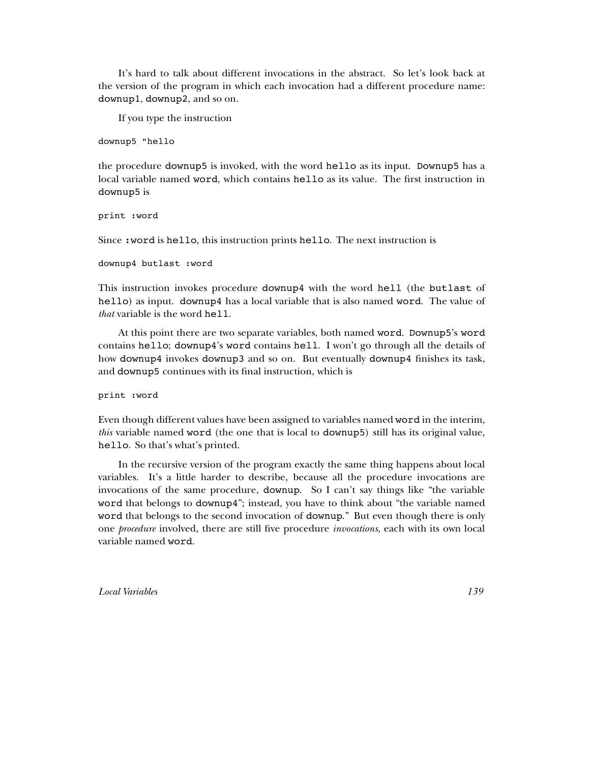downup1, downup2, and so on. It's hard to talk about different invocations in the abstract. So let's look back at the version of the program in which each invocation had a different procedure name:

If you type the instruction

downup5 "hello

the procedure downup5 is invoked, with the word hello as its input. Downup5 has a local variable named word, which contains hello as its value. The first instruction in downup5 is

print :word

Since  $:\hspace{0.5pt}\text{word}$  is hello, this instruction prints hello. The next instruction is

```
downup4 butlast :word
```
*that* variable is the word hell. This instruction invokes procedure downup4 with the word hell (the butlast of hello) as input. downup4 has a local variable that is also named word. The value of

At this point there are two separate variables, both named word. Downup5's word contains hello; downup4's word contains hell. I won't go through all the details of how downup4 invokes downup3 and so on. But eventually downup4 finishes its task, and **downup5** continues with its final instruction, which is

print :word

*this* variable named word (the one that is local to downup5) still has its original value, Even though different values have been assigned to variables named word in the interim, hello . So that's what's printed.

one *procedure* involved, there are still five procedure *invocations*, each with its own local invocations of the same procedure, downup. So I can't say things like "the variable word that belongs to downup4"; instead, you have to think about "the variable named word that belongs to the second invocation of downup." But even though there is only variable named wor<mark>d</mark>. In the recursive version of the program exactly the same thing happens about local variables. It's a little harder to describe, because all the procedure invocations are

*Local Variables 139*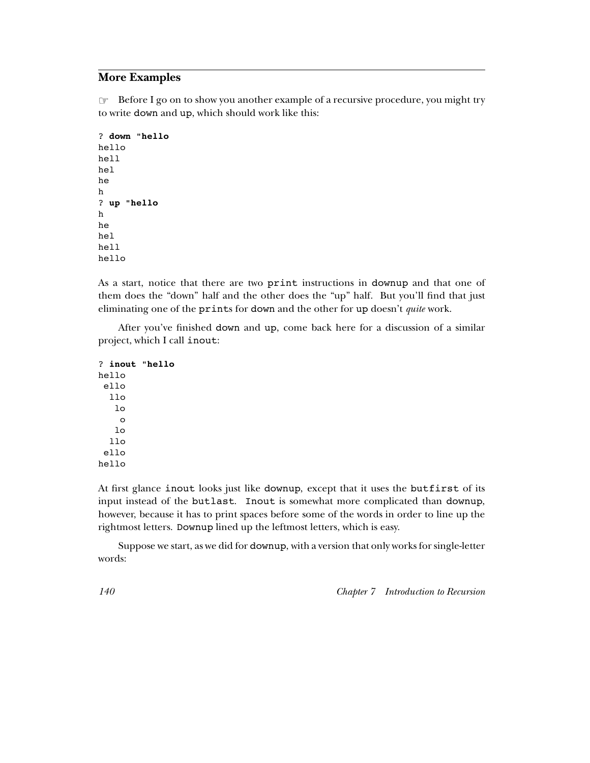# **More Examples**

☞ Before I go on to show you another example of a recursive procedure, you might try to write down and up, which should work like this:

```
down "hello
?
up "hello
?
hello
hell
hel
he
h
h
he
hel
hell
hello
```
eliminating one of the prints for down and the other for up doesn't *quite* work. As a start, notice that there are two print instructions in downup and that one of them does the "down" half and the other does the "up" half. But you'll find that just

After you've finished down and up, come back here for a discussion of a similar project, which I call inout:

```
inout "hello
?
hello
 ello
  llo
   1<sub>0</sub>o
   lo
  110ello
hello
```
At first glance inout looks just like downup, except that it uses the butfirst of its input instead of the butlast. Inout is somewhat more complicated than downup, rightmost letters. Downup lined up the leftmost letters, which is easy. however, because it has to print spaces before some of the words in order to line up the

Suppose we start, as we did for **downup**, with a version that only works for single-letter words: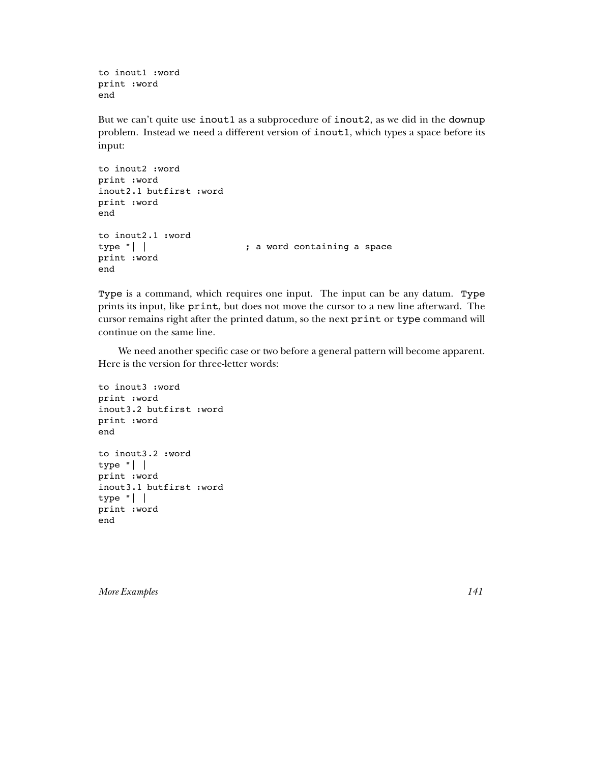to inout1 :word print :word end

But we can't quite use inout1 as a subprocedure of inout2, as we did in the downup problem. Instead we need a different version of inout1, which types a space before its input:

```
to inout2 :word
print :word
inout2.1 butfirst :word
print :word
end
to inout2.1 :word
type "| |                       ; a word containing a space
print :word
end
```
Type is a command, which requires one input. The input can be any datum. Type prints its input, like print, but does not move the cursor to a new line afterward. The cursor remains right after the printed datum, so the next  $\texttt{print}$  or  $\texttt{type}$  command will continue on the same line.

We need another specific case or two before a general pattern will become apparent. Here is the version for three-letter words:

```
to inout3 :word
print :word
inout3.2 butfirst :word
print :word
end
to inout3.2 :word
type "| |
print :word
inout3.1 butfirst :word
type "| |
print :word
end
```
*More Examples 141*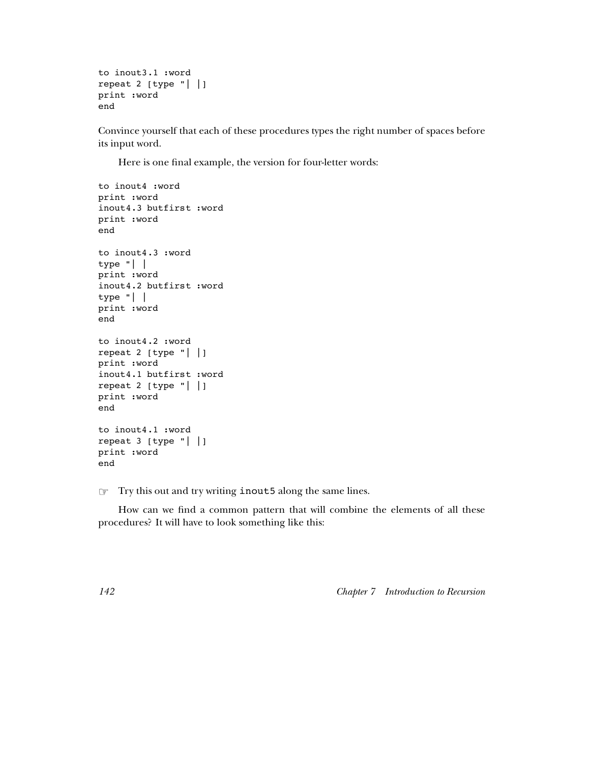```
to inout3.1 :word
repeat 2 [type "| |]
print :word
end
```
Convince yourself that each of these procedures types the right number of spaces before its input word.

Here is one final example, the version for four-letter words:

```
to inout4 :word
print :word
inout4.3 butfirst :word
print :word
end
to inout4.3 :word
type "| |
print :word
inout4.2 butfirst :word
type "| |
print :word
end
to inout4.2 :word
repeat 2 [type "| |]
print :word
inout4.1 butfirst :word
repeat 2 [type "| |]
print :word
end
to inout4.1 :word
repeat 3 [type "| |]
print :word
end
```
☞ inout5 Try this out and try writing along the same lines.

How can we find a common pattern that will combine the elements of all these procedures? It will have to look something like this: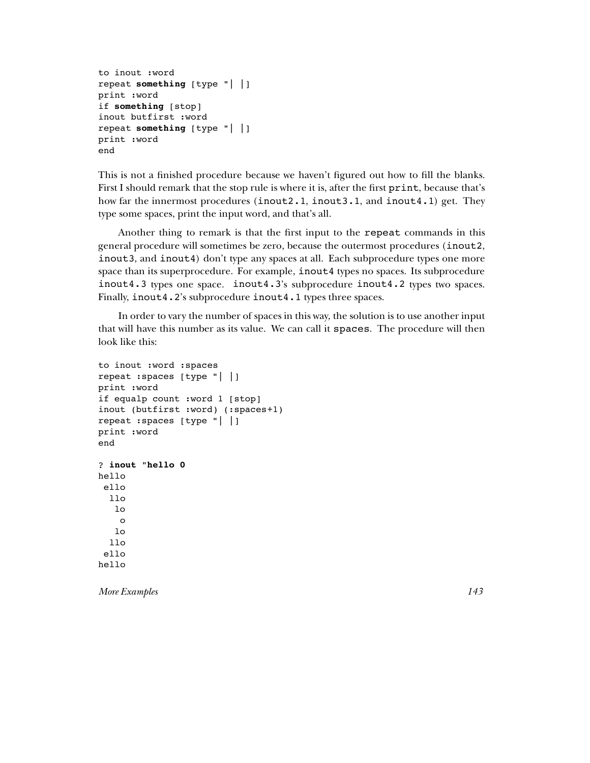```
repeat something [type "| |]
if something [stop]
repeat something [type "| |]
to inout :word
print :word
inout butfirst :word
print :word
end
```
First I should remark that the stop rule is where it is, after the first  $\mathtt{print},$  because that's how far the innermost procedures (inout2.1, inout3.1, and inout4.1) get. They This is not a finished procedure because we haven't figured out how to fill the blanks. type some spaces, print the input word, and that's all.

Another thing to remark is that the first input to the repeat commands in this general procedure will sometimes be zero, because the outermost procedures (inout2, inout3, and inout4) don't type any spaces at all. Each subprocedure types one more space than its superprocedure. For example, inout4 types no spaces. Its subprocedure  $inout4.3$  types one space.  $inout4.3$ 's subprocedure  $inout4.2$  types two spaces. Finally, inout4.2's subprocedure inout4.1 types three spaces.

that will have this number as its value. We can call it spaces. The procedure will then In order to vary the number of spaces in this way, the solution is to use another input look like this:

```
inout "hello 0
?
to inout :word :spaces
repeat :spaces [type "| |]
print :word
if equalp count :word 1 [stop]
inout (butfirst :word) (:spaces+1)
repeat :spaces [type "| |]
print :word
end
hello
ello
  llo
   lo
    o
   lo
  llo
 ello
hello
```
*More Examples 143*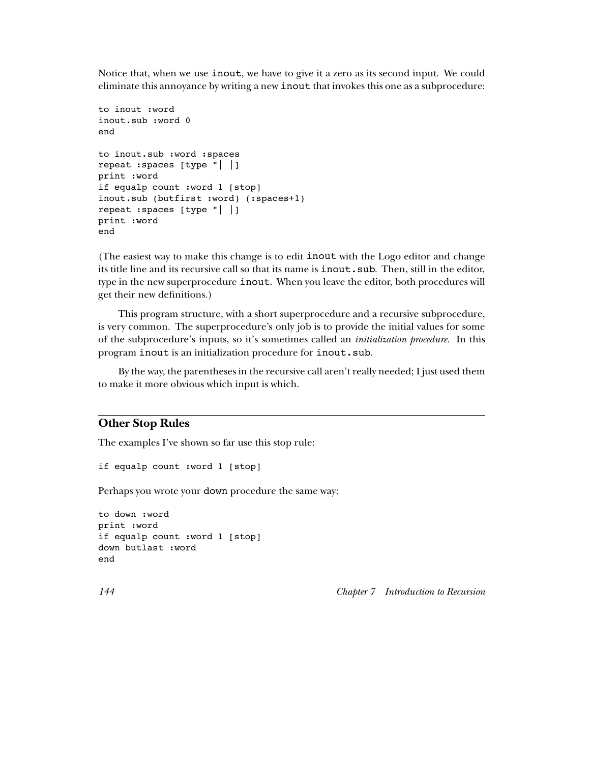Notice that, when we use <code>inout</code>, we have to give it a zero as its second input. We could eliminate this annoyance by writing a new **inout** that invokes this one as a subprocedure:

```
to inout :word
inout.sub :word 0
end
to inout.sub :word :spaces
repeat :spaces [type "| |]
print :word
if equalp count :word 1 [stop]
inout.sub (butfirst :word) (:spaces+1)
repeat :spaces [type "| |]
print :word
end
```
(The easiest way to make this change is to edit inout with the Logo editor and change its title line and its recursive call so that its name is  $\mathtt{inout}.\mathtt{sub}.$  Then, still in the editor, type in the new superprocedure <code>inout</code>. When you leave the editor, both procedures will get their new definitions.)

program inout is an initialization procedure for inout.sub. of the subprocedure's inputs, so it's sometimes called an *initialization procedure*. In this This program structure, with a short superprocedure and a recursive subprocedure, is very common. The superprocedure's only job is to provide the initial values for some

By the way, the parentheses in the recursive call aren't really needed; I just used them to make it more obvious which input is which.

# **Other Stop Rules**

The examples I've shown so far use this stop rule:

if equalp count :word 1 [stop]

Perhaps you wrote your down procedure the same way:

```
to down :word
print :word
if equalp count :word 1 [stop]
down butlast :word
end
```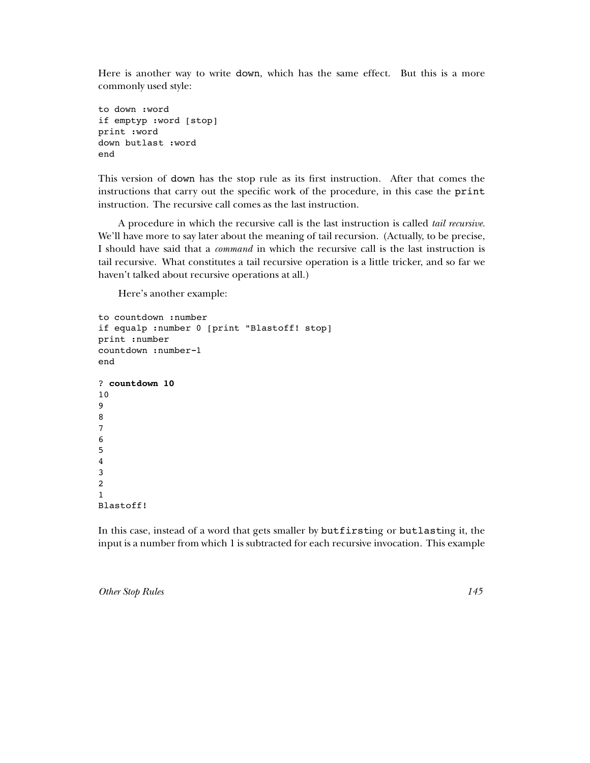Here is another way to write down, which has the same effect. But this is a more commonly used style:

```
to down :word
if emptyp :word [stop]
print :word
down butlast :word
end
```
This version of down has the stop rule as its first instruction. After that comes the instructions that carry out the specific work of the procedure, in this case the print instruction. The recursive call comes as the last instruction.

A procedure in which the recursive call is the last instruction is called *tail recursive.* I should have said that a *command* in which the recursive call is the last instruction is We'll have more to say later about the meaning of tail recursion. (Actually, to be precise, tail recursive. What constitutes a tail recursive operation is a little tricker, and so far we haven't talked about recursive operations at all.)

Here's another example:

```
countdown 10
?
to countdown :number
if equalp :number 0 [print "Blastoff! stop]
print :number
countdown :number-1
end
10
9
8
7
6
5
4
3
2
1
Blastoff!
```
In this case, instead of a word that gets smaller by butfirsting or butlasting it, the input is a number from which 1 is subtracted for each recursive invocation. This example

*Other Stop Rules 145*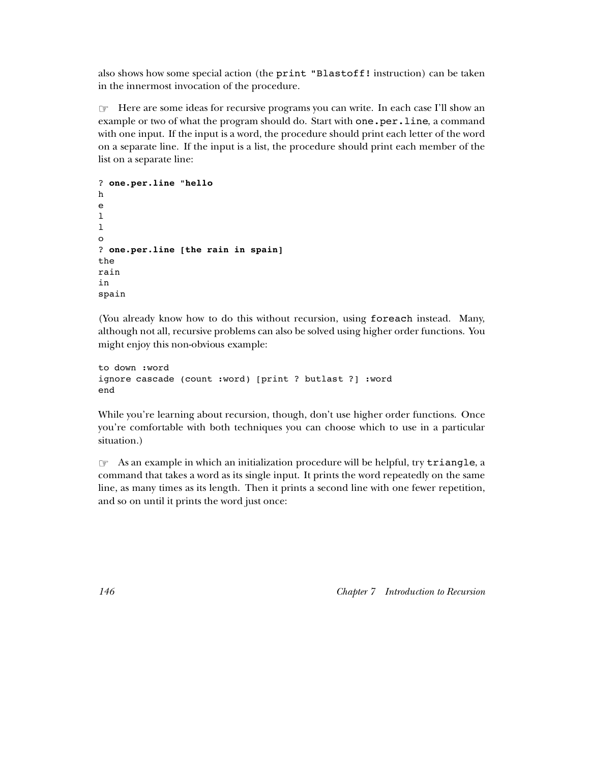also shows how some special action (the **print "Blastoff!** instruction) can be taken in the innermost invocation of the procedure.

☞ Here are some ideas for recursive programs you can write. In each case I'll show an example or two of what the program should do. Start with  $one. per. line, a command$ with one input. If the input is a word, the procedure should print each letter of the word on a separate line. If the input is a list, the procedure should print each member of the list on a separate line:

```
one.per.line "hello
?
one.per.line [the rain in spain]
?
h
e
\mathbf{1}\mathbf{1}o
the
rain
in
spain
```
(You already know how to do this without recursion, using foreach instead. Many, although not all, recursive problems can also be solved using higher order functions. You might enjoy this non-obvious example:

```
to down :word
ignore cascade (count :word) [print ? butlast ?] :word
end
```
While you're learning about recursion, though, don't use higher order functions. Once you're comfortable with both techniques you can choose which to use in a particular situation.)

 $\textcircled*$  As an example in which an initialization procedure will be helpful, try triangle, a command that takes a word as its single input. It prints the word repeatedly on the same line, as many times as its length. Then it prints a second line with one fewer repetition, and so on until it prints the word just once: